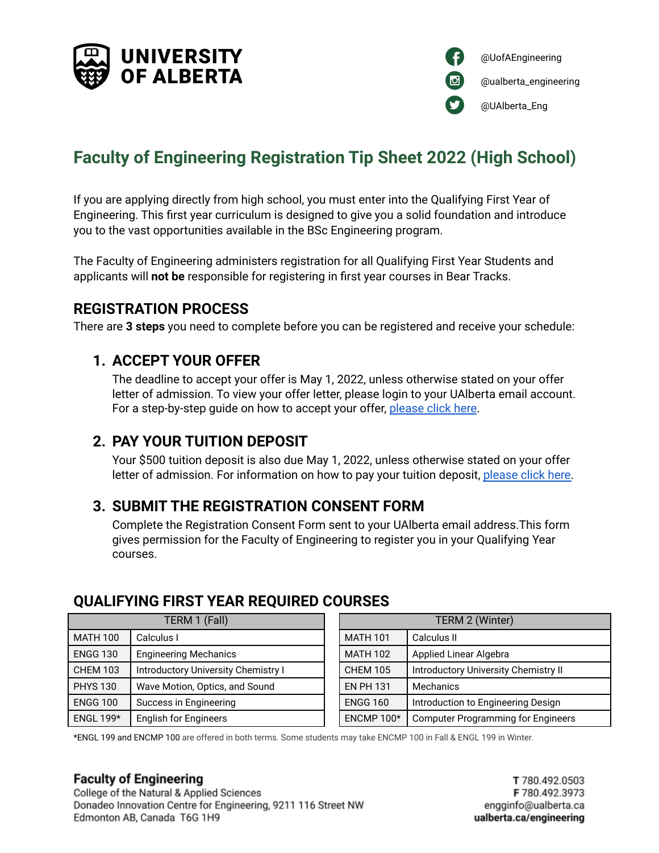



# **Faculty of Engineering Registration Tip Sheet 2022 (High School)**

If you are applying directly from high school, you must enter into the Qualifying First Year of Engineering. This first year curriculum is designed to give you a solid foundation and introduce you to the vast opportunities available in the BSc Engineering program.

The Faculty of Engineering administers registration for all Qualifying First Year Students and applicants will **not be** responsible for registering in first year courses in Bear Tracks.

### **REGISTRATION PROCESS**

There are **3 steps** you need to complete before you can be registered and receive your schedule:

### **1. ACCEPT YOUR OFFER**

The deadline to accept your offer is May 1, 2022, unless otherwise stated on your offer letter of admission. To view your offer letter, please login to your UAlberta email account. For a step-by-step guide on how to accept your offer, [please](https://www.ualberta.ca/admissions/undergraduate/admission/after-you-apply/how-to-accept-your-offer/index.html?) click here.

### **2. PAY YOUR TUITION DEPOSIT**

Your \$500 tuition deposit is also due May 1, 2022, unless otherwise stated on your offer letter of admission. For information on how to pay your tuition deposit, [please](https://www.ualberta.ca/admissions/undergraduate/admission/after-you-apply/how-to-accept-your-offer/tuition-deposit-payment.html?) click here.

### **3. SUBMIT THE REGISTRATION CONSENT FORM**

Complete the Registration Consent Form sent to your UAlberta email address.This form gives permission for the Faculty of Engineering to register you in your Qualifying Year courses.

### **QUALIFYING FIRST YEAR REQUIRED COURSES**

| TERM 1 (Fall)    |                                     | TERM 2 (Winter)  |                                           |
|------------------|-------------------------------------|------------------|-------------------------------------------|
| <b>MATH 100</b>  | Calculus I                          | <b>MATH 101</b>  | Calculus II                               |
| <b>ENGG 130</b>  | <b>Engineering Mechanics</b>        | <b>MATH 102</b>  | Applied Linear Algebra                    |
| <b>CHEM 103</b>  | Introductory University Chemistry I | <b>CHEM 105</b>  | Introductory University Chemistry II      |
| <b>PHYS 130</b>  | Wave Motion, Optics, and Sound      | <b>EN PH 131</b> | Mechanics                                 |
| <b>ENGG 100</b>  | Success in Engineering              | <b>ENGG 160</b>  | Introduction to Engineering Design        |
| <b>ENGL 199*</b> | <b>English for Engineers</b>        | ENCMP 100*       | <b>Computer Programming for Engineers</b> |

\*ENGL 199 and ENCMP 100 are offered in both terms. Some students may take ENCMP 100 in Fall & ENGL 199 in Winter.

### **Faculty of Engineering**

College of the Natural & Applied Sciences Donadeo Innovation Centre for Engineering, 9211 116 Street NW Edmonton AB, Canada T6G 1H9

T 780.492.0503 F 780.492.3973 engginfo@ualberta.ca ualberta.ca/engineering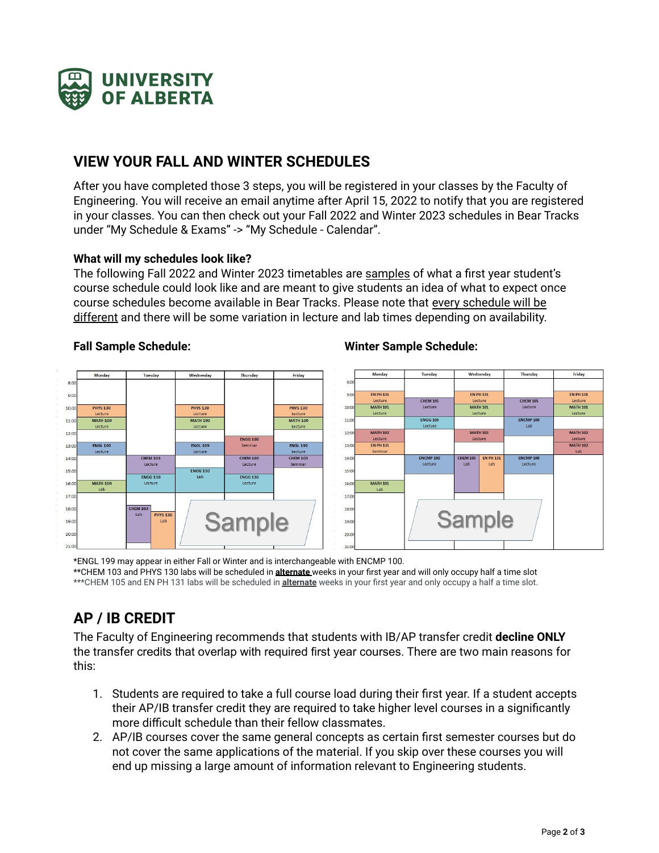

### **VIEW YOUR FALL AND WINTER SCHEDULES**

After you have completed those 3 steps, you will be registered in your classes by the Faculty of Engineering. You will receive an email anytime after April 15, 2022 to notify that you are registered in your classes. You can then check out your Fall 2022 and Winter 2023 schedules in Bear Tracks under "My Schedule & Exams" -> "My Schedule - Calendar".

#### **What will my schedules look like?**

The following Fall 2022 and Winter 2023 timetables are samples of what a first year student's course schedule could look like and are meant to give students an idea of what to expect once course schedules become available in Bear Tracks. Please note that every schedule will be different and there will be some variation in lecture and lab times depending on availability.

#### **Fall Sample Schedule: Winter Sample Schedule:**



#### \*ENGL 199 may appear in either Fall or Winter and is interchangeable with ENCMP 100. \*\*CHEM 103 and PHYS 130 labs will be scheduled in **alternate** weeks in your first year and will only occupy half a time slot \*\*\*CHEM 105 and EN PH 131 labs will be scheduled in **alternate** weeks in your first year and only occupy a half a time slot.

## **AP / IB CREDIT**

The Faculty of Engineering recommends that students with IB/AP transfer credit **decline ONLY** the transfer credits that overlap with required first year courses. There are two main reasons for this:

- 1. Students are required to take a full course load during their first year. If a student accepts their AP/IB transfer credit they are required to take higher level courses in a significantly more difficult schedule than their fellow classmates.
- 2. AP/IB courses cover the same general concepts as certain first semester courses but do not cover the same applications of the material. If you skip over these courses you will end up missing a large amount of information relevant to Engineering students.